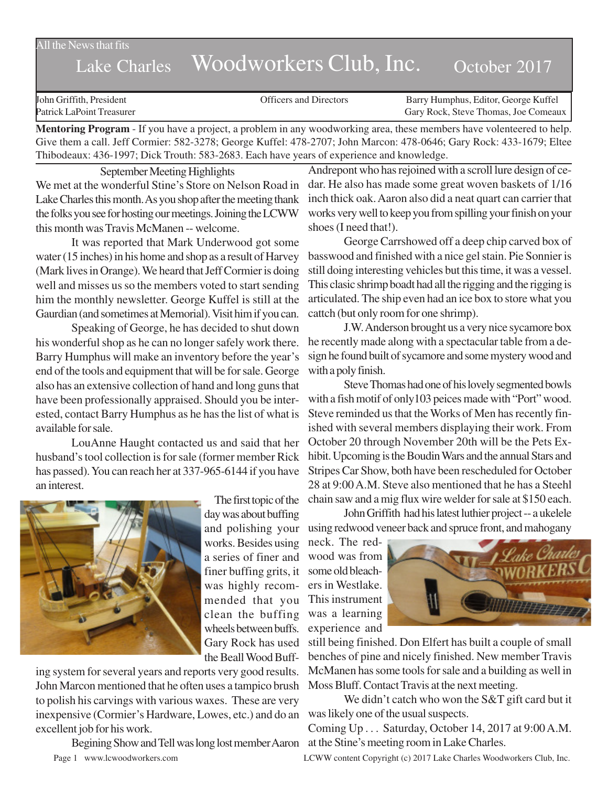All the News that fits

## Lake Charles Woodworkers Club, Inc. October 2017

John Griffith, President Officers and Directors Barry Humphus, Editor, George Kuffel Patrick LaPoint Treasurer Gary Rock, Steve Thomas, Joe Comeaux

**Mentoring Program** - If you have a project, a problem in any woodworking area, these members have volenteered to help. Give them a call. Jeff Cormier: 582-3278; George Kuffel: 478-2707; John Marcon: 478-0646; Gary Rock: 433-1679; Eltee Thibodeaux: 436-1997; Dick Trouth: 583-2683. Each have years of experience and knowledge.

September Meeting Highlights We met at the wonderful Stine's Store on Nelson Road in Lake Charles this month. As you shop after the meeting thank the folks you see for hosting our meetings. Joining the LCWW this month was Travis McManen -- welcome.

It was reported that Mark Underwood got some water (15 inches) in his home and shop as a result of Harvey (Mark lives in Orange). We heard that Jeff Cormier is doing well and misses us so the members voted to start sending him the monthly newsletter. George Kuffel is still at the Gaurdian (and sometimes at Memorial). Visit him if you can.

Speaking of George, he has decided to shut down his wonderful shop as he can no longer safely work there. Barry Humphus will make an inventory before the year's end of the tools and equipment that will be for sale. George also has an extensive collection of hand and long guns that have been professionally appraised. Should you be interested, contact Barry Humphus as he has the list of what is available for sale.

LouAnne Haught contacted us and said that her husband's tool collection is for sale (former member Rick has passed). You can reach her at 337-965-6144 if you have an interest.



The first topic of the day was about buffing and polishing your works. Besides using a series of finer and finer buffing grits, it was highly recommended that you clean the buffing wheels between buffs. Gary Rock has used the Beall Wood Buff-

ing system for several years and reports very good results. John Marcon mentioned that he often uses a tampico brush to polish his carvings with various waxes. These are very inexpensive (Cormier's Hardware, Lowes, etc.) and do an excellent job for his work.

Begining Show and Tell was long lost member Aaron

Andrepont who has rejoined with a scroll lure design of cedar. He also has made some great woven baskets of 1/16 inch thick oak. Aaron also did a neat quart can carrier that works very well to keep you from spilling your finish on your shoes (I need that!).

George Carrshowed off a deep chip carved box of basswood and finished with a nice gel stain. Pie Sonnier is still doing interesting vehicles but this time, it was a vessel. This clasic shrimp boadt had all the rigging and the rigging is articulated. The ship even had an ice box to store what you cattch (but only room for one shrimp).

J.W. Anderson brought us a very nice sycamore box he recently made along with a spectacular table from a design he found built of sycamore and some mystery wood and with a poly finish.

Steve Thomas had one of his lovely segmented bowls with a fish motif of only103 peices made with "Port" wood. Steve reminded us that the Works of Men has recently finished with several members displaying their work. From October 20 through November 20th will be the Pets Exhibit. Upcoming is the Boudin Wars and the annual Stars and Stripes Car Show, both have been rescheduled for October 28 at 9:00 A.M. Steve also mentioned that he has a Steehl chain saw and a mig flux wire welder for sale at \$150 each.

John Griffith had his latest luthier project -- a ukelele using redwood veneer back and spruce front, and mahogany

neck. The redwood was from some old bleachers in Westlake. This instrument was a learning experience and



still being finished. Don Elfert has built a couple of small benches of pine and nicely finished. New member Travis McManen has some tools for sale and a building as well in Moss Bluff. Contact Travis at the next meeting.

We didn't catch who won the S&T gift card but it was likely one of the usual suspects.

Coming Up . . . Saturday, October 14, 2017 at 9:00 A.M. at the Stine's meeting room in Lake Charles.

Page 1 www.lcwoodworkers.com LCWW content Copyright (c) 2017 Lake Charles Woodworkers Club, Inc.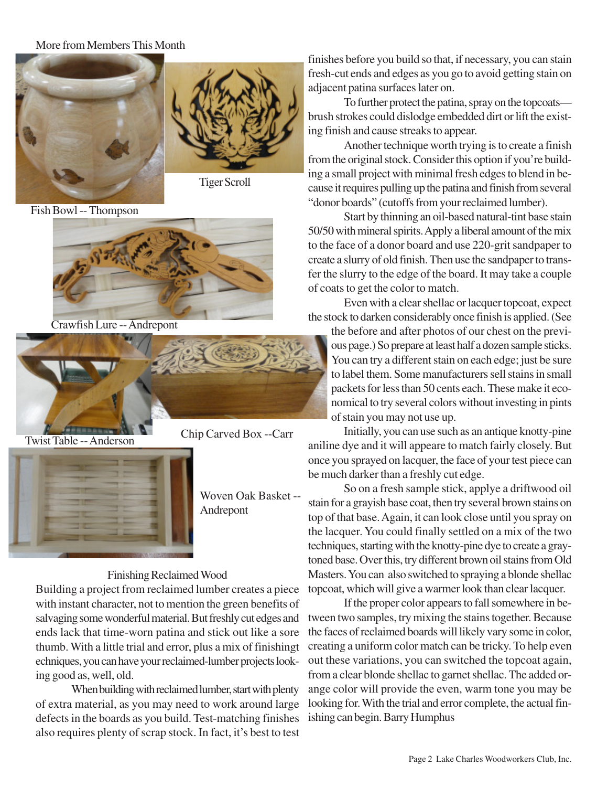## More from Members This Month



Fish Bowl -- Thompson



Crawfish Lure -- Andrepont



Twist Table -- Anderson





Woven Oak Basket -- Andrepont

## Finishing Reclaimed Wood

Building a project from reclaimed lumber creates a piece with instant character, not to mention the green benefits of salvaging some wonderful material. But freshly cut edges and ends lack that time-worn patina and stick out like a sore thumb. With a little trial and error, plus a mix of finishingt echniques, you can have your reclaimed-lumber projects looking good as, well, old.

When building with reclaimed lumber, start with plenty of extra material, as you may need to work around large defects in the boards as you build. Test-matching finishes also requires plenty of scrap stock. In fact, it's best to test finishes before you build so that, if necessary, you can stain fresh-cut ends and edges as you go to avoid getting stain on adjacent patina surfaces later on.

To further protect the patina, spray on the topcoats brush strokes could dislodge embedded dirt or lift the existing finish and cause streaks to appear.

Another technique worth trying is to create a finish from the original stock. Consider this option if you're building a small project with minimal fresh edges to blend in because it requires pulling up the patina and finish from several "donor boards" (cutoffs from your reclaimed lumber).

Start by thinning an oil-based natural-tint base stain 50/50 with mineral spirits. Apply a liberal amount of the mix to the face of a donor board and use 220-grit sandpaper to create a slurry of old finish. Then use the sandpaper to transfer the slurry to the edge of the board. It may take a couple of coats to get the color to match.

Even with a clear shellac or lacquer topcoat, expect the stock to darken considerably once finish is applied. (See

the before and after photos of our chest on the previous page.) So prepare at least half a dozen sample sticks. You can try a different stain on each edge; just be sure to label them. Some manufacturers sell stains in small packets for less than 50 cents each. These make it economical to try several colors without investing in pints of stain you may not use up.

Initially, you can use such as an antique knotty-pine aniline dye and it will appeare to match fairly closely. But once you sprayed on lacquer, the face of your test piece can be much darker than a freshly cut edge.

So on a fresh sample stick, applye a driftwood oil stain for a grayish base coat, then try several brown stains on top of that base. Again, it can look close until you spray on the lacquer. You could finally settled on a mix of the two techniques, starting with the knotty-pine dye to create a graytoned base. Over this, try different brown oil stains from Old Masters. You can also switched to spraying a blonde shellac topcoat, which will give a warmer look than clear lacquer.

If the proper color appears to fall somewhere in between two samples, try mixing the stains together. Because the faces of reclaimed boards will likely vary some in color, creating a uniform color match can be tricky. To help even out these variations, you can switched the topcoat again, from a clear blonde shellac to garnet shellac. The added orange color will provide the even, warm tone you may be looking for. With the trial and error complete, the actual finishing can begin. Barry Humphus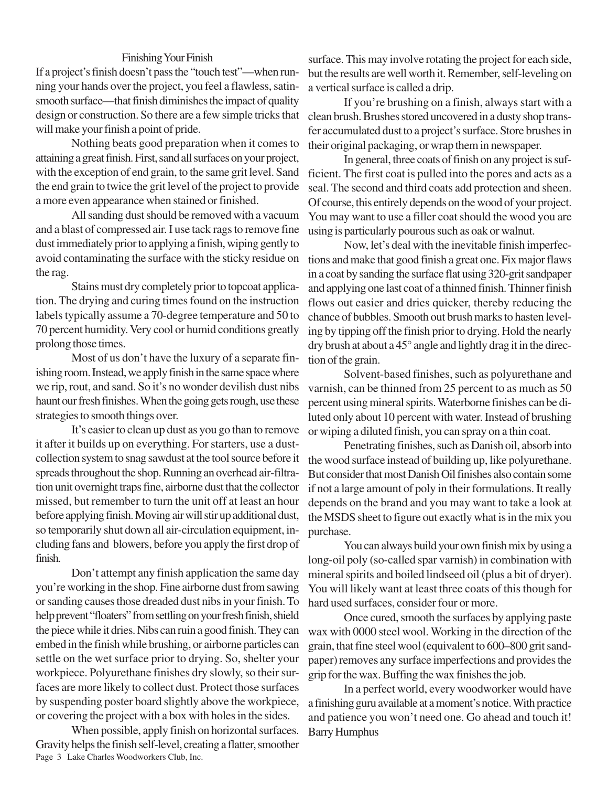## Finishing Your Finish

If a project's finish doesn't pass the "touch test"—when running your hands over the project, you feel a flawless, satinsmooth surface—that finish diminishes the impact of quality design or construction. So there are a few simple tricks that will make your finish a point of pride.

Nothing beats good preparation when it comes to attaining a great finish. First, sand all surfaces on your project, with the exception of end grain, to the same grit level. Sand the end grain to twice the grit level of the project to provide a more even appearance when stained or finished.

All sanding dust should be removed with a vacuum and a blast of compressed air. I use tack rags to remove fine dust immediately prior to applying a finish, wiping gently to avoid contaminating the surface with the sticky residue on the rag.

Stains must dry completely prior to topcoat application. The drying and curing times found on the instruction labels typically assume a 70-degree temperature and 50 to 70 percent humidity. Very cool or humid conditions greatly prolong those times.

Most of us don't have the luxury of a separate finishing room. Instead, we apply finish in the same space where we rip, rout, and sand. So it's no wonder devilish dust nibs haunt our fresh finishes. When the going gets rough, use these strategies to smooth things over.

It's easier to clean up dust as you go than to remove it after it builds up on everything. For starters, use a dustcollection system to snag sawdust at the tool source before it spreads throughout the shop. Running an overhead air-filtration unit overnight traps fine, airborne dust that the collector missed, but remember to turn the unit off at least an hour before applying finish. Moving air will stir up additional dust, so temporarily shut down all air-circulation equipment, including fans and blowers, before you apply the first drop of finish.

Don't attempt any finish application the same day you're working in the shop. Fine airborne dust from sawing or sanding causes those dreaded dust nibs in your finish. To help prevent "floaters" from settling on your fresh finish, shield the piece while it dries. Nibs can ruin a good finish. They can embed in the finish while brushing, or airborne particles can settle on the wet surface prior to drying. So, shelter your workpiece. Polyurethane finishes dry slowly, so their surfaces are more likely to collect dust. Protect those surfaces by suspending poster board slightly above the workpiece, or covering the project with a box with holes in the sides.

Page 3 Lake Charles Woodworkers Club, Inc. When possible, apply finish on horizontal surfaces. Gravity helps the finish self-level, creating a flatter, smoother surface. This may involve rotating the project for each side, but the results are well worth it. Remember, self-leveling on a vertical surface is called a drip.

If you're brushing on a finish, always start with a clean brush. Brushes stored uncovered in a dusty shop transfer accumulated dust to a project's surface. Store brushes in their original packaging, or wrap them in newspaper.

In general, three coats of finish on any project is sufficient. The first coat is pulled into the pores and acts as a seal. The second and third coats add protection and sheen. Of course, this entirely depends on the wood of your project. You may want to use a filler coat should the wood you are using is particularly pourous such as oak or walnut.

Now, let's deal with the inevitable finish imperfections and make that good finish a great one. Fix major flaws in a coat by sanding the surface flat using 320-grit sandpaper and applying one last coat of a thinned finish. Thinner finish flows out easier and dries quicker, thereby reducing the chance of bubbles. Smooth out brush marks to hasten leveling by tipping off the finish prior to drying. Hold the nearly dry brush at about a 45° angle and lightly drag it in the direction of the grain.

Solvent-based finishes, such as polyurethane and varnish, can be thinned from 25 percent to as much as 50 percent using mineral spirits. Waterborne finishes can be diluted only about 10 percent with water. Instead of brushing or wiping a diluted finish, you can spray on a thin coat.

Penetrating finishes, such as Danish oil, absorb into the wood surface instead of building up, like polyurethane. But consider that most Danish Oil finishes also contain some if not a large amount of poly in their formulations. It really depends on the brand and you may want to take a look at the MSDS sheet to figure out exactly what is in the mix you purchase.

You can always build your own finish mix by using a long-oil poly (so-called spar varnish) in combination with mineral spirits and boiled lindseed oil (plus a bit of dryer). You will likely want at least three coats of this though for hard used surfaces, consider four or more.

Once cured, smooth the surfaces by applying paste wax with 0000 steel wool. Working in the direction of the grain, that fine steel wool (equivalent to 600–800 grit sandpaper) removes any surface imperfections and provides the grip for the wax. Buffing the wax finishes the job.

In a perfect world, every woodworker would have a finishing guru available at a moment's notice. With practice and patience you won't need one. Go ahead and touch it! Barry Humphus